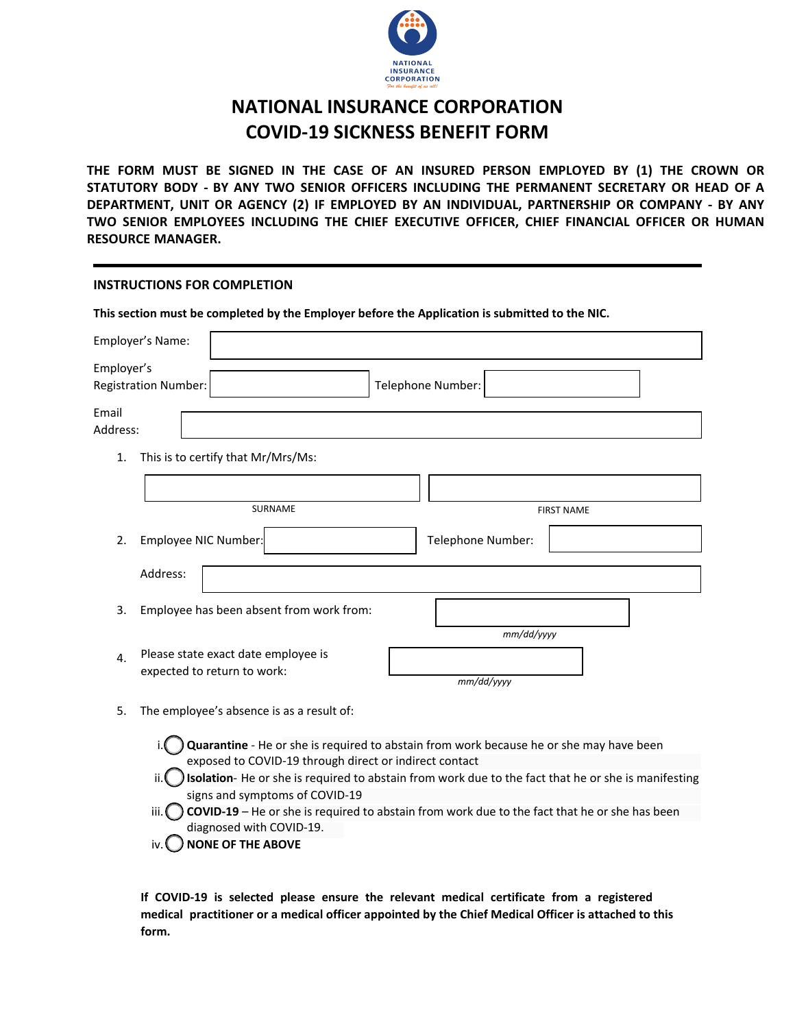

# **NATIONAL INSURANCE CORPORATION COVID-19 SICKNESS BENEFIT FORM**

**THE FORM MUST BE SIGNED IN THE CASE OF AN INSURED PERSON EMPLOYED BY (1) THE CROWN OR STATUTORY BODY - BY ANY TWO SENIOR OFFICERS INCLUDING THE PERMANENT SECRETARY OR HEAD OF A DEPARTMENT, UNIT OR AGENCY (2) IF EMPLOYED BY AN INDIVIDUAL, PARTNERSHIP OR COMPANY - BY ANY TWO SENIOR EMPLOYEES INCLUDING THE CHIEF EXECUTIVE OFFICER, CHIEF FINANCIAL OFFICER OR HUMAN RESOURCE MANAGER.**

## **INSTRUCTIONS FOR COMPLETION**

|                   | This section must be completed by the Employer before the Application is submitted to the NIC. |  |                   |                   |  |
|-------------------|------------------------------------------------------------------------------------------------|--|-------------------|-------------------|--|
|                   | Employer's Name:                                                                               |  |                   |                   |  |
| Employer's        | Registration Number:                                                                           |  | Telephone Number: |                   |  |
| Email<br>Address: |                                                                                                |  |                   |                   |  |
| 1.                | This is to certify that Mr/Mrs/Ms:                                                             |  |                   |                   |  |
|                   |                                                                                                |  |                   |                   |  |
|                   | <b>SURNAME</b>                                                                                 |  |                   | <b>FIRST NAME</b> |  |
| 2.                | Employee NIC Number:                                                                           |  | Telephone Number: |                   |  |
|                   | Address:                                                                                       |  |                   |                   |  |
| 3.                | Employee has been absent from work from:                                                       |  |                   |                   |  |
|                   |                                                                                                |  | mm/dd/yyyy        |                   |  |
| 4.                | Please state exact date employee is<br>expected to return to work:                             |  | mm/dd/yyyy        |                   |  |
|                   |                                                                                                |  |                   |                   |  |

- 5. The employee's absence is as a result of:
	- i. Quarantine He or she is required to abstain from work because he or she may have been exposed to COVID-19 through direct or indirect contact
	- ii. **It is be absolution** He or she is required to abstain from work due to the fact that he or she is manifesting signs and symptoms of COVID-19
	- iii. **COVID-19** He or she is required to abstain from work due to the fact that he or she has been diagnosed with COVID-19.
	- iv. **ONONE OF THE ABOVE**

**If COVID-19 is selected please ensure the relevant medical certificate from a registered medical practitioner or a medical officer appointed by the Chief Medical Officer is attached to this form.**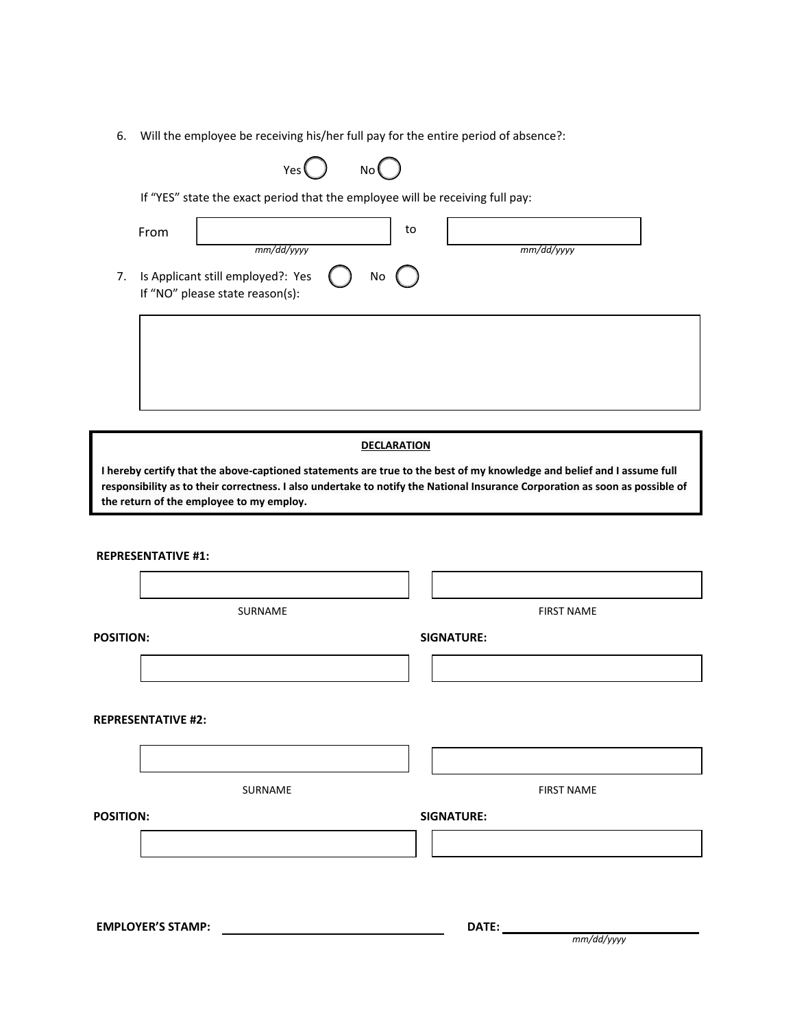6. Will the employee be receiving his/her full pay for the entire period of absence?:

| Yes ( | No l |
|-------|------|
|       |      |

If "YES" state the exact period that the employee will be receiving full pay:

|    | From                                                                               |  | to |            |
|----|------------------------------------------------------------------------------------|--|----|------------|
| 7. | mm/dd/yyyy<br>Is Applicant still employed?: Yes<br>If "NO" please state reason(s): |  | No | mm/dd/vvvv |
|    |                                                                                    |  |    |            |

#### **DECLARATION**

**I hereby certify that the above-captioned statements are true to the best of my knowledge and belief and I assume full responsibility as to their correctness. I also undertake to notify the National Insurance Corporation as soon as possible of the return of the employee to my employ.** 

| <b>REPRESENTATIVE #1:</b> |                   |
|---------------------------|-------------------|
|                           |                   |
| SURNAME                   | <b>FIRST NAME</b> |
| <b>POSITION:</b>          | <b>SIGNATURE:</b> |
|                           |                   |
| <b>REPRESENTATIVE #2:</b> |                   |
|                           |                   |
| SURNAME                   | <b>FIRST NAME</b> |
| <b>POSITION:</b>          | <b>SIGNATURE:</b> |
|                           |                   |
|                           |                   |
| <b>EMPLOYER'S STAMP:</b>  | DATE:             |
|                           | mm/dd/yyyy        |